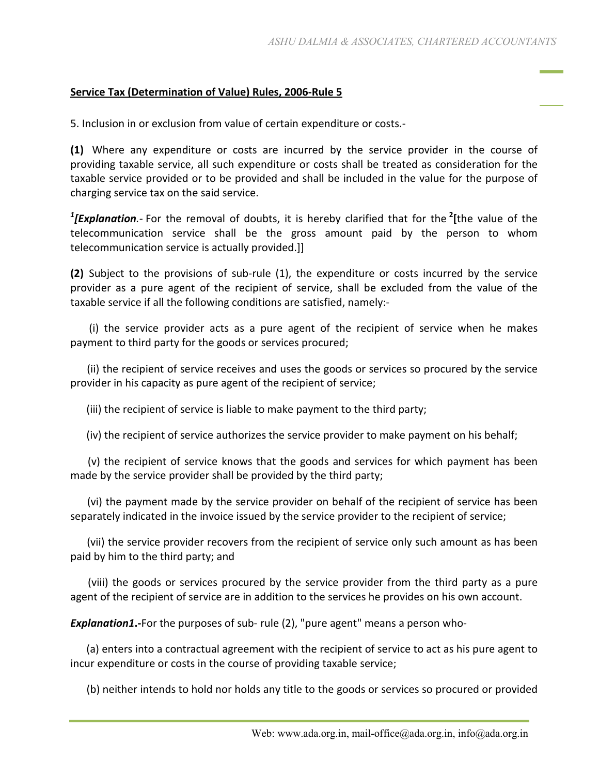## **Service Tax (Determination of Value) Rules, 2006-Rule 5**

5. Inclusion in or exclusion from value of certain expenditure or costs.-

**(1)** Where any expenditure or costs are incurred by the service provider in the course of providing taxable service, all such expenditure or costs shall be treated as consideration for the taxable service provided or to be provided and shall be included in the value for the purpose of charging service tax on the said service.

*1 [Explanation.-* For the removal of doubts, it is hereby clarified that for the **<sup>2</sup> [**the value of the telecommunication service shall be the gross amount paid by the person to whom telecommunication service is actually provided.]]

**(2)** Subject to the provisions of sub-rule (1), the expenditure or costs incurred by the service provider as a pure agent of the recipient of service, shall be excluded from the value of the taxable service if all the following conditions are satisfied, namely:-

 (i) the service provider acts as a pure agent of the recipient of service when he makes payment to third party for the goods or services procured;

 (ii) the recipient of service receives and uses the goods or services so procured by the service provider in his capacity as pure agent of the recipient of service;

(iii) the recipient of service is liable to make payment to the third party;

(iv) the recipient of service authorizes the service provider to make payment on his behalf;

 (v) the recipient of service knows that the goods and services for which payment has been made by the service provider shall be provided by the third party;

 (vi) the payment made by the service provider on behalf of the recipient of service has been separately indicated in the invoice issued by the service provider to the recipient of service;

 (vii) the service provider recovers from the recipient of service only such amount as has been paid by him to the third party; and

 (viii) the goods or services procured by the service provider from the third party as a pure agent of the recipient of service are in addition to the services he provides on his own account.

*Explanation1***.-**For the purposes of sub- rule (2), "pure agent" means a person who-

 (a) enters into a contractual agreement with the recipient of service to act as his pure agent to incur expenditure or costs in the course of providing taxable service;

(b) neither intends to hold nor holds any title to the goods or services so procured or provided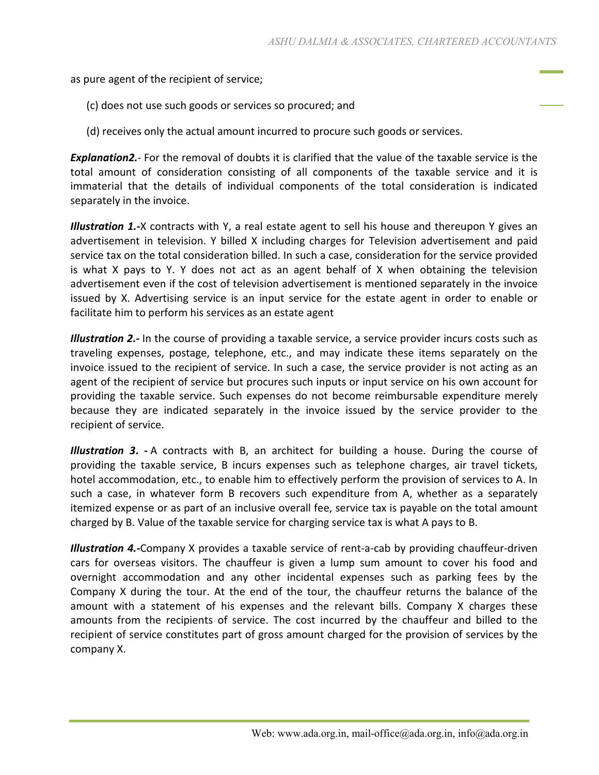as pure agent of the recipient of service;

- (c) does not use such goods or services so procured; and
- (d) receives only the actual amount incurred to procure such goods or services.

*Explanation2.-* For the removal of doubts it is clarified that the value of the taxable service is the total amount of consideration consisting of all components of the taxable service and it is immaterial that the details of individual components of the total consideration is indicated separately in the invoice.

*Illustration 1.-X* contracts with Y, a real estate agent to sell his house and thereupon Y gives an advertisement in television. Y billed X including charges for Television advertisement and paid service tax on the total consideration billed. In such a case, consideration for the service provided is what X pays to Y. Y does not act as an agent behalf of X when obtaining the television advertisement even if the cost of television advertisement is mentioned separately in the invoice issued by X. Advertising service is an input service for the estate agent in order to enable or facilitate him to perform his services as an estate agent

*Illustration 2.-* In the course of providing a taxable service, a service provider incurs costs such as traveling expenses, postage, telephone, etc., and may indicate these items separately on the invoice issued to the recipient of service. In such a case, the service provider is not acting as an agent of the recipient of service but procures such inputs or input service on his own account for providing the taxable service. Such expenses do not become reimbursable expenditure merely because they are indicated separately in the invoice issued by the service provider to the recipient of service.

*Illustration 3***. -** A contracts with B, an architect for building a house. During the course of providing the taxable service, B incurs expenses such as telephone charges, air travel tickets, hotel accommodation, etc., to enable him to effectively perform the provision of services to A. In such a case, in whatever form B recovers such expenditure from A, whether as a separately itemized expense or as part of an inclusive overall fee, service tax is payable on the total amount charged by B. Value of the taxable service for charging service tax is what A pays to B.

*Illustration 4.-*Company X provides a taxable service of rent-a-cab by providing chauffeur-driven cars for overseas visitors. The chauffeur is given a lump sum amount to cover his food and overnight accommodation and any other incidental expenses such as parking fees by the Company X during the tour. At the end of the tour, the chauffeur returns the balance of the amount with a statement of his expenses and the relevant bills. Company X charges these amounts from the recipients of service. The cost incurred by the chauffeur and billed to the recipient of service constitutes part of gross amount charged for the provision of services by the company X.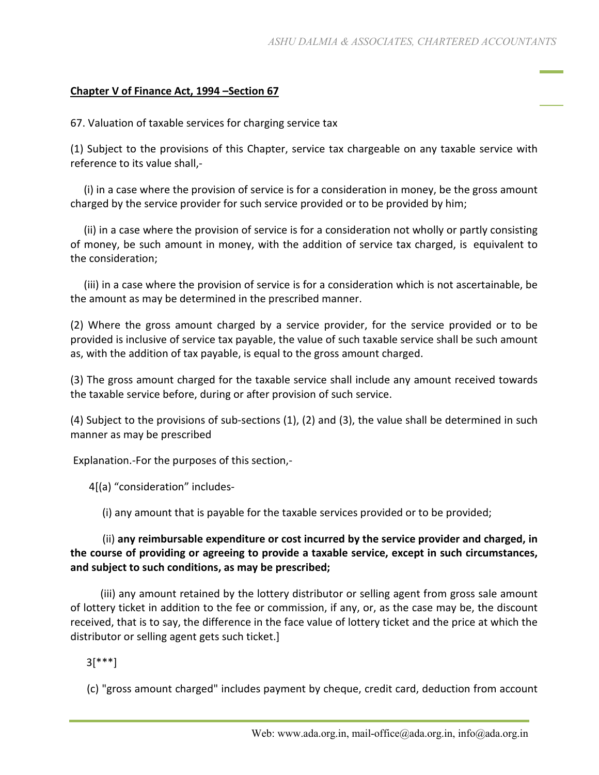## **Chapter V of Finance Act, 1994 –Section 67**

67. Valuation of taxable services for charging service tax

(1) Subject to the provisions of this Chapter, service tax chargeable on any taxable service with reference to its value shall,-

 (i) in a case where the provision of service is for a consideration in money, be the gross amount charged by the service provider for such service provided or to be provided by him;

 (ii) in a case where the provision of service is for a consideration not wholly or partly consisting of money, be such amount in money, with the addition of service tax charged, is equivalent to the consideration;

 (iii) in a case where the provision of service is for a consideration which is not ascertainable, be the amount as may be determined in the prescribed manner.

(2) Where the gross amount charged by a service provider, for the service provided or to be provided is inclusive of service tax payable, the value of such taxable service shall be such amount as, with the addition of tax payable, is equal to the gross amount charged.

(3) The gross amount charged for the taxable service shall include any amount received towards the taxable service before, during or after provision of such service.

(4) Subject to the provisions of sub-sections (1), (2) and (3), the value shall be determined in such manner as may be prescribed

Explanation.-For the purposes of this section,-

4[(a) "consideration" includes-

(i) any amount that is payable for the taxable services provided or to be provided;

## (ii) **any reimbursable expenditure or cost incurred by the service provider and charged, in the course of providing or agreeing to provide a taxable service, except in such circumstances, and subject to such conditions, as may be prescribed;**

 (iii) any amount retained by the lottery distributor or selling agent from gross sale amount of lottery ticket in addition to the fee or commission, if any, or, as the case may be, the discount received, that is to say, the difference in the face value of lottery ticket and the price at which the distributor or selling agent gets such ticket.]

3[\*\*\*]

(c) "gross amount charged" includes payment by cheque, credit card, deduction from account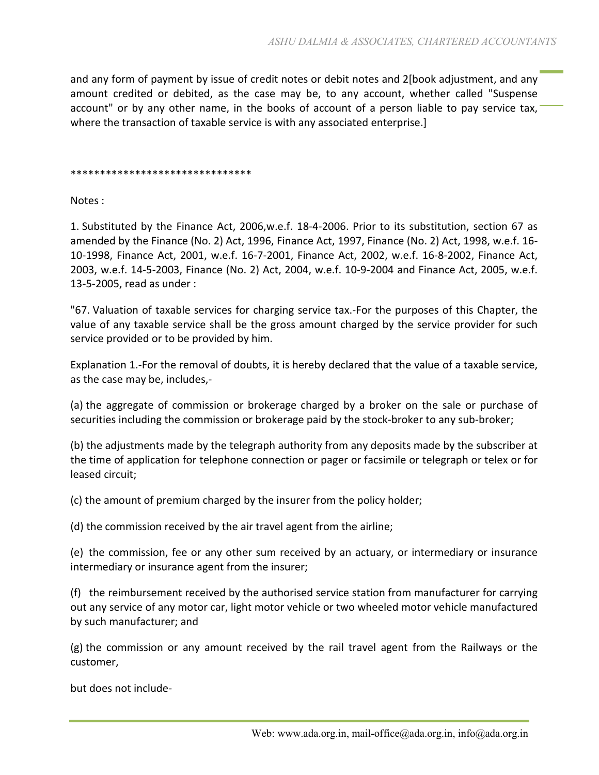and any form of payment by issue of credit notes or debit notes and 2[book adjustment, and any amount credited or debited, as the case may be, to any account, whether called "Suspense account" or by any other name, in the books of account of a person liable to pay service tax, where the transaction of taxable service is with any associated enterprise.]

## \*\*\*\*\*\*\*\*\*\*\*\*\*\*\*\*\*\*\*\*\*\*\*\*\*\*\*\*\*\*\*

Notes :

1. Substituted by the Finance Act, 2006,w.e.f. 18-4-2006. Prior to its substitution, section 67 as amended by the Finance (No. 2) Act, 1996, Finance Act, 1997, Finance (No. 2) Act, 1998, w.e.f. 16- 10-1998, Finance Act, 2001, w.e.f. 16-7-2001, Finance Act, 2002, w.e.f. 16-8-2002, Finance Act, 2003, w.e.f. 14-5-2003, Finance (No. 2) Act, 2004, w.e.f. 10-9-2004 and Finance Act, 2005, w.e.f. 13-5-2005, read as under :

"67. Valuation of taxable services for charging service tax.-For the purposes of this Chapter, the value of any taxable service shall be the gross amount charged by the service provider for such service provided or to be provided by him.

Explanation 1.-For the removal of doubts, it is hereby declared that the value of a taxable service, as the case may be, includes,-

(a) the aggregate of commission or brokerage charged by a broker on the sale or purchase of securities including the commission or brokerage paid by the stock-broker to any sub-broker;

(b) the adjustments made by the telegraph authority from any deposits made by the subscriber at the time of application for telephone connection or pager or facsimile or telegraph or telex or for leased circuit;

(c) the amount of premium charged by the insurer from the policy holder;

(d) the commission received by the air travel agent from the airline;

(e) the commission, fee or any other sum received by an actuary, or intermediary or insurance intermediary or insurance agent from the insurer;

(f) the reimbursement received by the authorised service station from manufacturer for carrying out any service of any motor car, light motor vehicle or two wheeled motor vehicle manufactured by such manufacturer; and

(g) the commission or any amount received by the rail travel agent from the Railways or the customer,

but does not include-